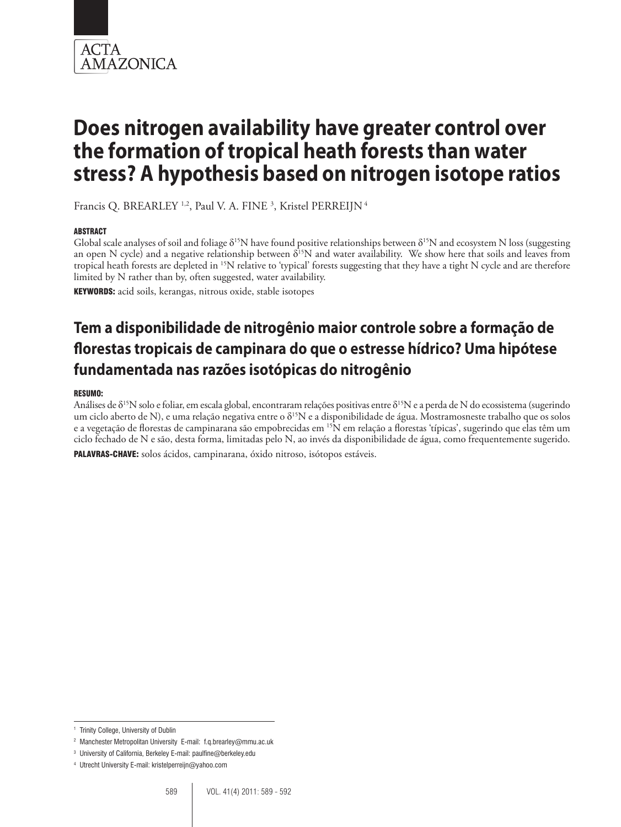

Francis Q. BREARLEY<sup>1,2</sup>, Paul V. A. FINE<sup>3</sup>, Kristel PERREIJN<sup>4</sup>

### **ABSTRACT**

Global scale analyses of soil and foliage  $\delta^{15}N$  have found positive relationships between  $\delta^{15}N$  and ecosystem N loss (suggesting an open N cycle) and a negative relationship between  $\delta^{15}N$  and water availability. We show here that soils and leaves from tropical heath forests are depleted in 15N relative to 'typical' forests suggesting that they have a tight N cycle and are therefore limited by N rather than by, often suggested, water availability.

KEYWORDS: acid soils, kerangas, nitrous oxide, stable isotopes

# **Tem a disponibilidade de nitrogênio maior controle sobre a formação de florestas tropicais de campinara do que o estresse hídrico? Uma hipótese fundamentada nas razões isotópicas do nitrogênio**

#### RESUMO:

Análises de  $\delta^{15}N$  solo e foliar, em escala global, encontraram relações positivas entre  $\delta^{15}N$  e a perda de N do ecossistema (sugerindo um ciclo aberto de N), e uma relação negativa entre o δ<sup>15</sup>N e a disponibilidade de água. Mostramosneste trabalho que os solos e a vegetação de florestas de campinarana são empobrecidas em <sup>15</sup>N em relação a florestas 'típicas', sugerindo que elas têm um ciclo fechado de N e são, desta forma, limitadas pelo N, ao invés da disponibilidade de água, como frequentemente sugerido. PALAVRAS-CHAVE: solos ácidos, campinarana, óxido nitroso, isótopos estáveis.

<sup>1</sup> Trinity College, University of Dublin

<sup>2</sup> Manchester Metropolitan University E-mail: f.q.brearley@mmu.ac.uk

<sup>3</sup> University of California, Berkeley E-mail: paulfine@berkeley.edu

<sup>4</sup> Utrecht University E-mail: kristelperreijn@yahoo.com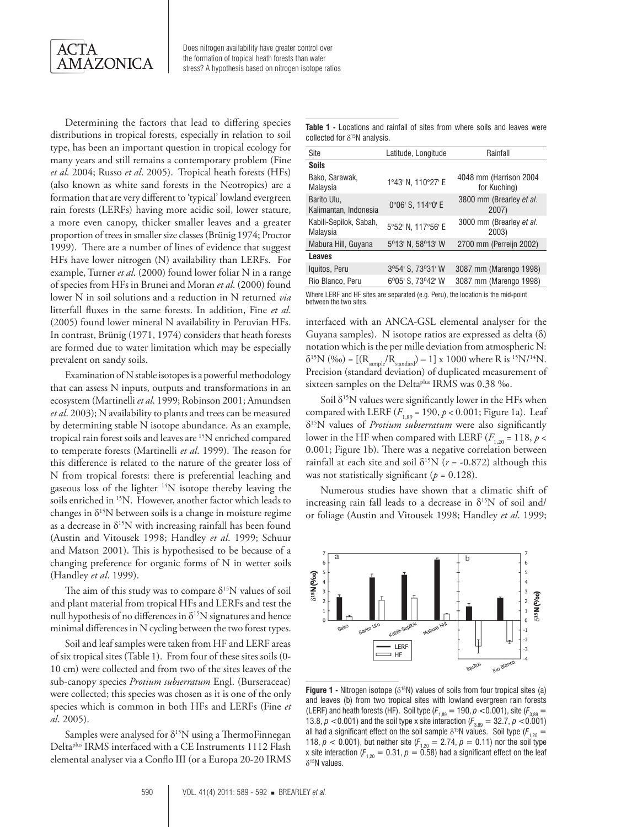

Determining the factors that lead to differing species distributions in tropical forests, especially in relation to soil type, has been an important question in tropical ecology for many years and still remains a contemporary problem (Fine *et al*. 2004; Russo *et al*. 2005). Tropical heath forests (HFs) (also known as white sand forests in the Neotropics) are a formation that are very different to 'typical' lowland evergreen rain forests (LERFs) having more acidic soil, lower stature, a more even canopy, thicker smaller leaves and a greater proportion of trees in smaller size classes (Brünig 1974; Proctor 1999).There are a number of lines of evidence that suggest HFs have lower nitrogen (N) availability than LERFs. For example, Turner *et al*. (2000) found lower foliar N in a range of species from HFs in Brunei and Moran *et al*. (2000) found lower N in soil solutions and a reduction in N returned *via* litterfall fluxes in the same forests. In addition, Fine *et al*. (2005) found lower mineral N availability in Peruvian HFs. In contrast, Brünig (1971, 1974) considers that heath forests are formed due to water limitation which may be especially prevalent on sandy soils.

Examination of N stable isotopes is a powerful methodology that can assess N inputs, outputs and transformations in an ecosystem (Martinelli *et al*. 1999; Robinson 2001; Amundsen *et al*. 2003); N availability to plants and trees can be measured by determining stable N isotope abundance. As an example, tropical rain forest soils and leaves are 15N enriched compared to temperate forests (Martinelli *et al*. 1999). The reason for this difference is related to the nature of the greater loss of N from tropical forests: there is preferential leaching and gaseous loss of the lighter 14N isotope thereby leaving the soils enriched in 15N. However, another factor which leads to changes in  $\delta^{15}N$  between soils is a change in moisture regime as a decrease in  $\delta^{15}N$  with increasing rainfall has been found (Austin and Vitousek 1998; Handley *et al*. 1999; Schuur and Matson 2001). This is hypothesised to be because of a changing preference for organic forms of N in wetter soils (Handley *et al*. 1999).

The aim of this study was to compare  $\delta^{15}N$  values of soil and plant material from tropical HFs and LERFs and test the null hypothesis of no differences in  $\delta^{15}N$  signatures and hence minimal differences in N cycling between the two forest types.

Soil and leaf samples were taken from HF and LERF areas of six tropical sites (Table 1). From four of these sites soils (0- 10 cm) were collected and from two of the sites leaves of the sub-canopy species *Protium subserratum* Engl. (Burseraceae) were collected; this species was chosen as it is one of the only species which is common in both HFs and LERFs (Fine *et al*. 2005).

Samples were analysed for  $\delta^{15}N$  using a ThermoFinnegan Deltaplus IRMS interfaced with a CE Instruments 1112 Flash elemental analyser via a Conflo III (or a Europa 20-20 IRMS

**Table 1 -** Locations and rainfall of sites from where soils and leaves were collected for  $\delta^{15}$ N analysis.

| Site                                 | Latitude, Longitude | Rainfall                               |
|--------------------------------------|---------------------|----------------------------------------|
| <b>Soils</b>                         |                     |                                        |
| Bako, Sarawak,<br>Malaysia           | 1°43' N, 110°27' E  | 4048 mm (Harrison 2004<br>for Kuching) |
| Barito Ulu,<br>Kalimantan, Indonesia | 0°06' S, 114°0' E   | 3800 mm (Brearley et al.<br>2007)      |
| Kabili-Sepilok, Sabah,<br>Malaysia   | 5°52' N, 117°56' E  | 3000 mm (Brearley et al.<br>2003)      |
| Mabura Hill, Guyana                  | 5°13' N, 58°13' W   | 2700 mm (Perreijn 2002)                |
| <b>Leaves</b>                        |                     |                                        |
| Iquitos, Peru                        | 3º54' S, 73º31' W   | 3087 mm (Marengo 1998)                 |
| Rio Blanco, Peru                     | 6°05' S, 73°42' W   | 3087 mm (Marengo 1998)                 |
|                                      |                     |                                        |

Where LERF and HF sites are separated (e.g. Peru), the location is the mid-point between the two sites.

interfaced with an ANCA-GSL elemental analyser for the Guyana samples). N isotope ratios are expressed as delta (δ) notation which is the per mille deviation from atmospheric N:  $\delta^{15}N$  (%0) = [( $R_{\text{sample}}/R_{\text{standard}}$ ) – 1] x 1000 where R is <sup>15</sup>N/<sup>14</sup>N. Precision (standard deviation) of duplicated measurement of sixteen samples on the Delta<sup>plus</sup> IRMS was 0.38 ‰.

Soil  $\delta^{15}N$  values were significantly lower in the HFs when compared with LERF  $(F_{1,89} = 190, p < 0.001$ ; Figure 1a). Leaf δ15N values of *Protium subserratum* were also significantly lower in the HF when compared with LERF  $(F_{1,20} = 118, p <$ 0.001; Figure 1b). There was a negative correlation between rainfall at each site and soil  $\delta^{15}N$  ( $r = -0.872$ ) although this was not statistically significant ( $p = 0.128$ ).

Numerous studies have shown that a climatic shift of increasing rain fall leads to a decrease in  $\delta^{15}N$  of soil and/ or foliage (Austin and Vitousek 1998; Handley *et al*. 1999;



**Figure 1 -** Nitrogen isotope ( $\delta^{15}N$ ) values of soils from four tropical sites (a) and leaves (b) from two tropical sites with lowland evergreen rain forests (LERF) and heath forests (HF). Soil type ( $F_{1,89} = 190$ ,  $\rho < 0.001$ ), site ( $F_{3,89} =$ 13.8,  $p < 0.001$ ) and the soil type x site interaction ( $F_{3,89} = 32.7$ ,  $p < 0.001$ ) all had a significant effect on the soil sample  $\delta^{15}N$  values. Soil type ( $F_{1,20}$  = 118,  $p < 0.001$ ), but neither site ( $F_{1,20} = 2.74$ ,  $p = 0.11$ ) nor the soil type x site interaction ( $F_{1,20} = 0.31$ ,  $p = 0.58$ ) had a significant effect on the leaf δ15N values.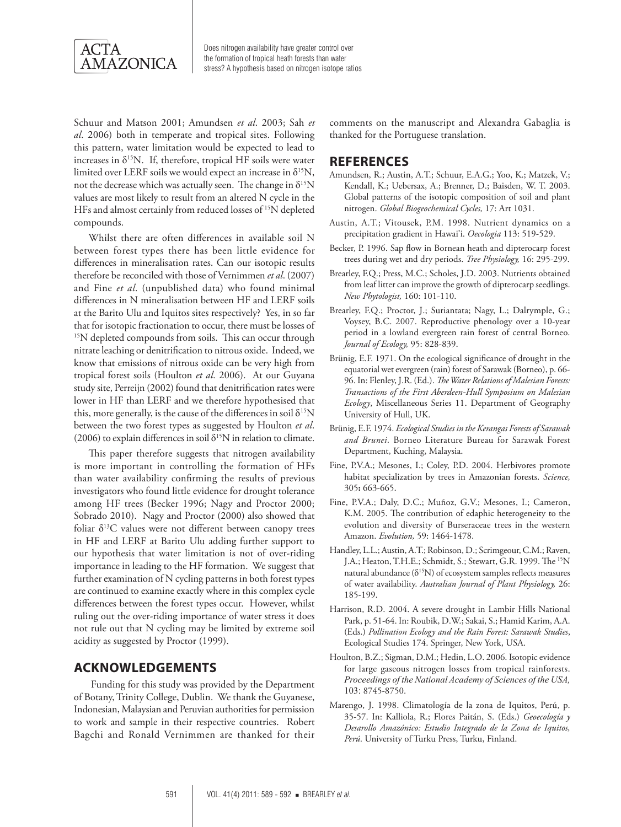

Schuur and Matson 2001; Amundsen *et al*. 2003; Sah *et al*. 2006) both in temperate and tropical sites. Following this pattern, water limitation would be expected to lead to increases in  $\delta^{15}N$ . If, therefore, tropical HF soils were water limited over LERF soils we would expect an increase in  $\delta^{15}N$ , not the decrease which was actually seen. The change in  $\delta^{15}N$ values are most likely to result from an altered N cycle in the HFs and almost certainly from reduced losses of <sup>15</sup>N depleted compounds.

Whilst there are often differences in available soil N between forest types there has been little evidence for differences in mineralisation rates. Can our isotopic results therefore be reconciled with those of Vernimmen *et al*. (2007) and Fine *et al*. (unpublished data) who found minimal differences in N mineralisation between HF and LERF soils at the Barito Ulu and Iquitos sites respectively? Yes, in so far that for isotopic fractionation to occur, there must be losses of <sup>15</sup>N depleted compounds from soils. This can occur through nitrate leaching or denitrification to nitrous oxide. Indeed, we know that emissions of nitrous oxide can be very high from tropical forest soils (Houlton *et al*. 2006). At our Guyana study site, Perreijn (2002) found that denitrification rates were lower in HF than LERF and we therefore hypothesised that this, more generally, is the cause of the differences in soil  $\delta^{15}N$ between the two forest types as suggested by Houlton *et al*. (2006) to explain differences in soil  $\delta^{15}N$  in relation to climate.

This paper therefore suggests that nitrogen availability is more important in controlling the formation of HFs than water availability confirming the results of previous investigators who found little evidence for drought tolerance among HF trees (Becker 1996; Nagy and Proctor 2000; Sobrado 2010). Nagy and Proctor (2000) also showed that foliar  $\delta^{13}$ C values were not different between canopy trees in HF and LERF at Barito Ulu adding further support to our hypothesis that water limitation is not of over-riding importance in leading to the HF formation. We suggest that further examination of N cycling patterns in both forest types are continued to examine exactly where in this complex cycle differences between the forest types occur. However, whilst ruling out the over-riding importance of water stress it does not rule out that N cycling may be limited by extreme soil acidity as suggested by Proctor (1999).

## **Acknowledgements**

Funding for this study was provided by the Department of Botany, Trinity College, Dublin. We thank the Guyanese, Indonesian, Malaysian and Peruvian authorities for permission to work and sample in their respective countries. Robert Bagchi and Ronald Vernimmen are thanked for their

comments on the manuscript and Alexandra Gabaglia is thanked for the Portuguese translation.

#### **References**

- Amundsen, R.; Austin, A.T.; Schuur, E.A.G.; Yoo, K.; Matzek, V.; Kendall, K.; Uebersax, A.; Brenner, D.; Baisden, W. T. 2003. Global patterns of the isotopic composition of soil and plant nitrogen. *Global Biogeochemical Cycles,* 17: Art 1031.
- Austin, A.T.; Vitousek, P.M. 1998. Nutrient dynamics on a precipitation gradient in Hawai'i. *Oecologia* 113: 519-529.
- Becker, P. 1996. Sap flow in Bornean heath and dipterocarp forest trees during wet and dry periods. *Tree Physiology,* 16: 295-299.
- Brearley, F.Q.; Press, M.C.; Scholes, J.D. 2003. Nutrients obtained from leaf litter can improve the growth of dipterocarp seedlings. *New Phytologist,* 160: 101-110.
- Brearley, F.Q.; Proctor, J.; Suriantata; Nagy, L.; Dalrymple, G.; Voysey, B.C. 2007. Reproductive phenology over a 10-year period in a lowland evergreen rain forest of central Borneo. *Journal of Ecology,* 95: 828-839.
- Brünig, E.F. 1971. On the ecological significance of drought in the equatorial wet evergreen (rain) forest of Sarawak (Borneo), p. 66- 96. In: Flenley, J.R. (Ed.). *The Water Relations of Malesian Forests: Transactions of the First Aberdeen-Hull Symposium on Malesian Ecology*, Miscellaneous Series 11. Department of Geography University of Hull, UK.
- Brünig, E.F. 1974. *Ecological Studies in the Kerangas Forests of Sarawak and Brunei*. Borneo Literature Bureau for Sarawak Forest Department, Kuching, Malaysia.
- Fine, P.V.A.; Mesones, I.; Coley, P.D. 2004. Herbivores promote habitat specialization by trees in Amazonian forests. *Science,* 305**:** 663-665.
- Fine, P.V.A.; Daly, D.C.; Muñoz, G.V.; Mesones, I.; Cameron, K.M. 2005. The contribution of edaphic heterogeneity to the evolution and diversity of Burseraceae trees in the western Amazon. *Evolution,* 59: 1464-1478.
- Handley, L.L.; Austin, A.T.; Robinson, D.; Scrimgeour, C.M.; Raven, J.A.; Heaton, T.H.E.; Schmidt, S.; Stewart, G.R. 1999. The <sup>15</sup>N natural abundance  $(\delta^{15}N)$  of ecosystem samples reflects measures of water availability. *Australian Journal of Plant Physiology,* 26: 185-199.
- Harrison, R.D. 2004. A severe drought in Lambir Hills National Park, p. 51-64. In: Roubik, D.W.; Sakai, S.; Hamid Karim, A.A. (Eds.) *Pollination Ecology and the Rain Forest: Sarawak Studies*, Ecological Studies 174. Springer, New York, USA.
- Houlton, B.Z.; Sigman, D.M.; Hedin, L.O. 2006. Isotopic evidence for large gaseous nitrogen losses from tropical rainforests. *Proceedings of the National Academy of Sciences of the USA,* 103: 8745-8750.
- Marengo, J. 1998. Climatología de la zona de Iquitos, Perú, p. 35-57. In: Kalliola, R.; Flores Paitán, S. (Eds.) *Geoecología y Desarollo Amazónico: Estudio Integrado de la Zona de Iquitos, Perú*. University of Turku Press, Turku, Finland.